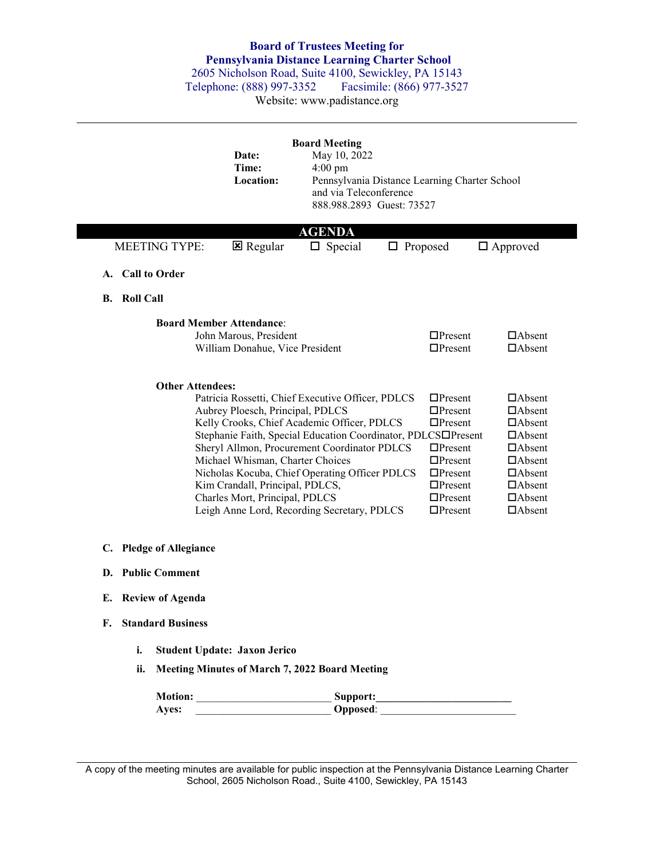## **Board of Trustees Meeting for Pennsylvania Distance Learning Charter School**

2605 Nicholson Road, Suite 4100, Sewickley, PA 15143<br>
Felephone: (888) 997-3352 Facsimile: (866) 977-3527 Telephone: (888) 997-3352

Website: www.padistance.org

|                                | Date:<br>Time:<br>Location:                                                                                                                                                                                                                                                                                                                                                                    | <b>Board Meeting</b><br>May 10, 2022<br>$4:00 \text{ pm}$<br>and via Teleconference<br>888.988.2893 Guest: 73527 | Pennsylvania Distance Learning Charter School                                                                                                                                                                                   |                                                                                                                                                                        |  |  |
|--------------------------------|------------------------------------------------------------------------------------------------------------------------------------------------------------------------------------------------------------------------------------------------------------------------------------------------------------------------------------------------------------------------------------------------|------------------------------------------------------------------------------------------------------------------|---------------------------------------------------------------------------------------------------------------------------------------------------------------------------------------------------------------------------------|------------------------------------------------------------------------------------------------------------------------------------------------------------------------|--|--|
|                                |                                                                                                                                                                                                                                                                                                                                                                                                | <b>AGENDA</b>                                                                                                    |                                                                                                                                                                                                                                 |                                                                                                                                                                        |  |  |
| <b>MEETING TYPE:</b>           | <b>E</b> Regular                                                                                                                                                                                                                                                                                                                                                                               | $\Box$ Special                                                                                                   | $\Box$ Proposed                                                                                                                                                                                                                 | $\Box$ Approved                                                                                                                                                        |  |  |
| A. Call to Order               |                                                                                                                                                                                                                                                                                                                                                                                                |                                                                                                                  |                                                                                                                                                                                                                                 |                                                                                                                                                                        |  |  |
| <b>B.</b> Roll Call            |                                                                                                                                                                                                                                                                                                                                                                                                |                                                                                                                  |                                                                                                                                                                                                                                 |                                                                                                                                                                        |  |  |
|                                | <b>Board Member Attendance:</b><br>John Marous, President<br>William Donahue, Vice President                                                                                                                                                                                                                                                                                                   |                                                                                                                  | $\Box$ Present<br>$\Box$ Present                                                                                                                                                                                                | $\Box$ Absent<br>$\Box$ Absent                                                                                                                                         |  |  |
| <b>Other Attendees:</b>        | Patricia Rossetti, Chief Executive Officer, PDLCS<br>Aubrey Ploesch, Principal, PDLCS<br>Kelly Crooks, Chief Academic Officer, PDLCS<br>Sheryl Allmon, Procurement Coordinator PDLCS<br>Michael Whisman, Charter Choices<br>Nicholas Kocuba, Chief Operating Officer PDLCS<br>Kim Crandall, Principal, PDLCS,<br>Charles Mort, Principal, PDLCS<br>Leigh Anne Lord, Recording Secretary, PDLCS |                                                                                                                  | $\Box$ Present<br>$\Box$ Present<br>$\Box$ Present<br>Stephanie Faith, Special Education Coordinator, PDLCS□Present<br>$\Box$ Present<br>$\Box$ Present<br>$\Box$ Present<br>$\Box$ Present<br>$\Box$ Present<br>$\Box$ Present | $\Box$ Absent<br>$\Box$ Absent<br>$\Box$ Absent<br>$\Box$ Absent<br>$\Box$ Absent<br>$\Box$ Absent<br>$\Box$ Absent<br>$\Box$ Absent<br>$\Box$ Absent<br>$\Box$ Absent |  |  |
| C. Pledge of Allegiance        |                                                                                                                                                                                                                                                                                                                                                                                                |                                                                                                                  |                                                                                                                                                                                                                                 |                                                                                                                                                                        |  |  |
| D. Public Comment              |                                                                                                                                                                                                                                                                                                                                                                                                |                                                                                                                  |                                                                                                                                                                                                                                 |                                                                                                                                                                        |  |  |
| <b>Review of Agenda</b><br>E.  |                                                                                                                                                                                                                                                                                                                                                                                                |                                                                                                                  |                                                                                                                                                                                                                                 |                                                                                                                                                                        |  |  |
| F.<br><b>Standard Business</b> |                                                                                                                                                                                                                                                                                                                                                                                                |                                                                                                                  |                                                                                                                                                                                                                                 |                                                                                                                                                                        |  |  |
| i.                             | Student Update: Jaxon Jerico                                                                                                                                                                                                                                                                                                                                                                   |                                                                                                                  |                                                                                                                                                                                                                                 |                                                                                                                                                                        |  |  |
| ii.                            | <b>Meeting Minutes of March 7, 2022 Board Meeting</b>                                                                                                                                                                                                                                                                                                                                          |                                                                                                                  |                                                                                                                                                                                                                                 |                                                                                                                                                                        |  |  |
|                                |                                                                                                                                                                                                                                                                                                                                                                                                |                                                                                                                  |                                                                                                                                                                                                                                 |                                                                                                                                                                        |  |  |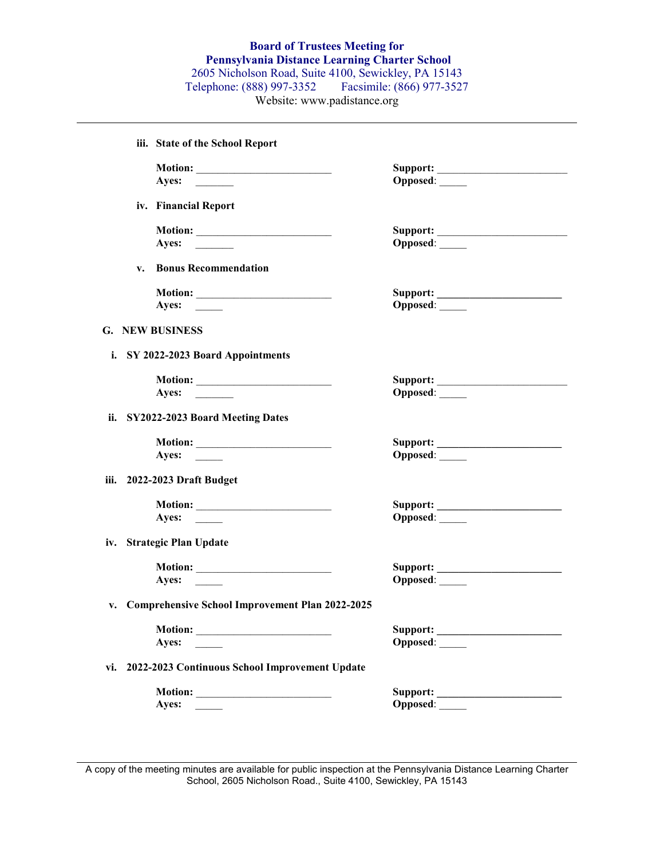| iii. State of the School Report                    |          |
|----------------------------------------------------|----------|
|                                                    |          |
|                                                    | Opposed: |
| iv. Financial Report                               |          |
|                                                    |          |
|                                                    |          |
|                                                    | Opposed: |
| <b>Bonus Recommendation</b><br>$V_{\bullet}$       |          |
|                                                    |          |
| Ayes: $\qquad \qquad$                              | Opposed: |
| G. NEW BUSINESS                                    |          |
| i. SY 2022-2023 Board Appointments                 |          |
|                                                    |          |
|                                                    |          |
| Ayes: $\qquad \qquad$                              | Opposed: |
| ii. SY2022-2023 Board Meeting Dates                |          |
| Motion:                                            |          |
| Ayes: $\qquad \qquad$                              | Opposed: |
| iii. 2022-2023 Draft Budget                        |          |
|                                                    |          |
| Ayes:                                              | Opposed: |
|                                                    |          |
| iv. Strategic Plan Update                          |          |
|                                                    |          |
| Ayes: $\qquad \qquad$                              | Opposed: |
| v. Comprehensive School Improvement Plan 2022-2025 |          |
|                                                    |          |
| <b>Motion:</b><br>Ayes:                            | Opposed: |
|                                                    |          |
| vi. 2022-2023 Continuous School Improvement Update |          |
|                                                    | Support: |
| Ayes:                                              | Opposed: |

A copy of the meeting minutes are available for public inspection at the Pennsylvania Distance Learning Charter School, 2605 Nicholson Road., Suite 4100, Sewickley, PA 15143